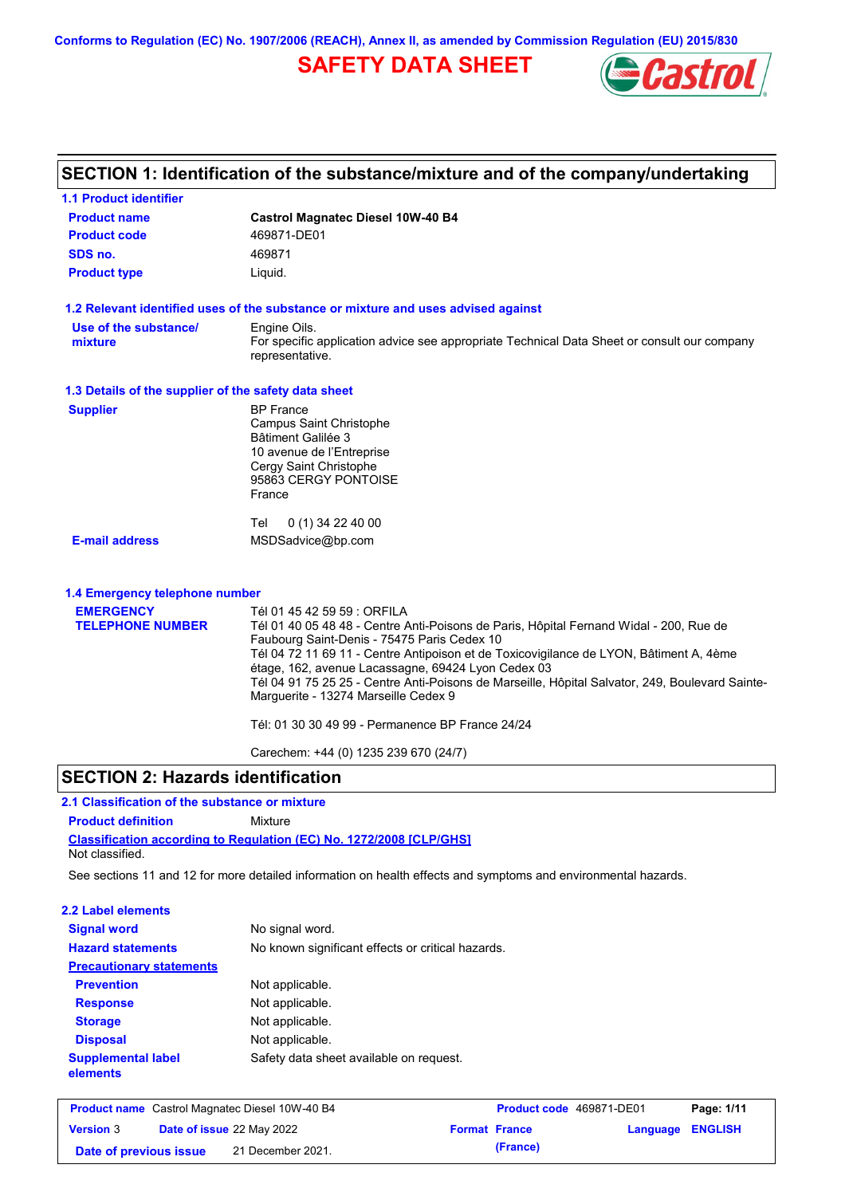**Conforms to Regulation (EC) No. 1907/2006 (REACH), Annex II, as amended by Commission Regulation (EU) 2015/830**

## **SAFETY DATA SHEET**



| <b>1.1 Product identifier</b>                        |                                                                                                                                                                                                                                                                                                                                                                                                                                                                                                                     |
|------------------------------------------------------|---------------------------------------------------------------------------------------------------------------------------------------------------------------------------------------------------------------------------------------------------------------------------------------------------------------------------------------------------------------------------------------------------------------------------------------------------------------------------------------------------------------------|
| <b>Product name</b>                                  | <b>Castrol Magnatec Diesel 10W-40 B4</b>                                                                                                                                                                                                                                                                                                                                                                                                                                                                            |
| <b>Product code</b>                                  | 469871-DE01                                                                                                                                                                                                                                                                                                                                                                                                                                                                                                         |
| SDS no.                                              | 469871                                                                                                                                                                                                                                                                                                                                                                                                                                                                                                              |
| <b>Product type</b>                                  | Liquid.                                                                                                                                                                                                                                                                                                                                                                                                                                                                                                             |
|                                                      | 1.2 Relevant identified uses of the substance or mixture and uses advised against                                                                                                                                                                                                                                                                                                                                                                                                                                   |
| Use of the substance/<br>mixture                     | Engine Oils.<br>For specific application advice see appropriate Technical Data Sheet or consult our company<br>representative.                                                                                                                                                                                                                                                                                                                                                                                      |
| 1.3 Details of the supplier of the safety data sheet |                                                                                                                                                                                                                                                                                                                                                                                                                                                                                                                     |
| <b>Supplier</b>                                      | <b>BP</b> France<br><b>Campus Saint Christophe</b><br><b>Bâtiment Galilée 3</b><br>10 avenue de l'Entreprise<br>Cergy Saint Christophe<br>95863 CERGY PONTOISE<br>France<br>0 (1) 34 22 40 00<br>Tel                                                                                                                                                                                                                                                                                                                |
| <b>E-mail address</b>                                | MSDSadvice@bp.com                                                                                                                                                                                                                                                                                                                                                                                                                                                                                                   |
| 1.4 Emergency telephone number                       |                                                                                                                                                                                                                                                                                                                                                                                                                                                                                                                     |
| <b>EMERGENCY</b><br><b>TELEPHONE NUMBER</b>          | Tél 01 45 42 59 59 : ORFILA<br>Tél 01 40 05 48 48 - Centre Anti-Poisons de Paris, Hôpital Fernand Widal - 200, Rue de<br>Faubourg Saint-Denis - 75475 Paris Cedex 10<br>Tél 04 72 11 69 11 - Centre Antipoison et de Toxicovigilance de LYON, Bâtiment A, 4ème<br>étage, 162, avenue Lacassagne, 69424 Lyon Cedex 03<br>Tél 04 91 75 25 25 - Centre Anti-Poisons de Marseille, Hôpital Salvator, 249, Boulevard Sainte-<br>Marguerite - 13274 Marseille Cedex 9<br>Tél: 01 30 30 49 99 - Permanence BP France 24/24 |
|                                                      | Carechem: +44 (0) 1235 239 670 (24/7)                                                                                                                                                                                                                                                                                                                                                                                                                                                                               |

## **SECTION 2: Hazards identification**

## **2.1 Classification of the substance or mixture**

**Classification according to Regulation (EC) No. 1272/2008 [CLP/GHS] Product definition** Mixture Not classified.

See sections 11 and 12 for more detailed information on health effects and symptoms and environmental hazards.

### **2.2 Label elements**

| <b>Signal word</b>                    | No signal word.                                   |
|---------------------------------------|---------------------------------------------------|
| <b>Hazard statements</b>              | No known significant effects or critical hazards. |
| <b>Precautionary statements</b>       |                                                   |
| <b>Prevention</b>                     | Not applicable.                                   |
| <b>Response</b>                       | Not applicable.                                   |
| <b>Storage</b>                        | Not applicable.                                   |
| <b>Disposal</b>                       | Not applicable.                                   |
| <b>Supplemental label</b><br>elements | Safety data sheet available on request.           |

| <b>Product name</b> Castrol Magnatec Diesel 10W-40 B4 |  |                                  | <b>Product code</b> 469871-DE01 | Page: 1/11           |                  |  |
|-------------------------------------------------------|--|----------------------------------|---------------------------------|----------------------|------------------|--|
| <b>Version 3</b>                                      |  | <b>Date of issue 22 May 2022</b> |                                 | <b>Format France</b> | Language ENGLISH |  |
| Date of previous issue                                |  | 21 December 2021.                |                                 | (France)             |                  |  |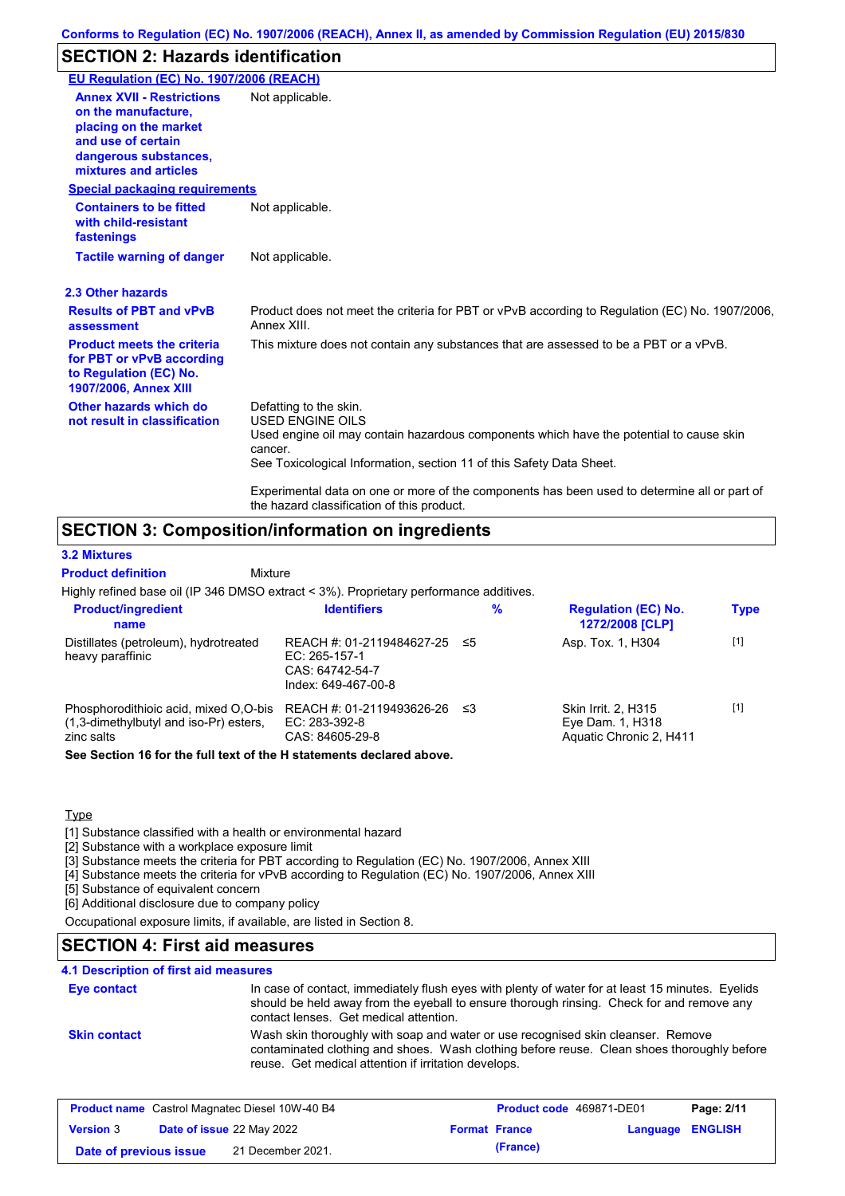## **SECTION 2: Hazards identification**

| EU Regulation (EC) No. 1907/2006 (REACH)                                                                                                                 |                                                                                                                                                                                                                                                                                                                                                                               |
|----------------------------------------------------------------------------------------------------------------------------------------------------------|-------------------------------------------------------------------------------------------------------------------------------------------------------------------------------------------------------------------------------------------------------------------------------------------------------------------------------------------------------------------------------|
| <b>Annex XVII - Restrictions</b><br>on the manufacture.<br>placing on the market<br>and use of certain<br>dangerous substances,<br>mixtures and articles | Not applicable.                                                                                                                                                                                                                                                                                                                                                               |
| <b>Special packaging requirements</b>                                                                                                                    |                                                                                                                                                                                                                                                                                                                                                                               |
| <b>Containers to be fitted</b><br>with child-resistant<br>fastenings                                                                                     | Not applicable.                                                                                                                                                                                                                                                                                                                                                               |
| <b>Tactile warning of danger</b>                                                                                                                         | Not applicable.                                                                                                                                                                                                                                                                                                                                                               |
| 2.3 Other hazards                                                                                                                                        |                                                                                                                                                                                                                                                                                                                                                                               |
| <b>Results of PBT and vPvB</b><br>assessment                                                                                                             | Product does not meet the criteria for PBT or vPvB according to Regulation (EC) No. 1907/2006,<br>Annex XIII.                                                                                                                                                                                                                                                                 |
| <b>Product meets the criteria</b><br>for PBT or vPvB according<br>to Regulation (EC) No.<br><b>1907/2006, Annex XIII</b>                                 | This mixture does not contain any substances that are assessed to be a PBT or a vPvB.                                                                                                                                                                                                                                                                                         |
| Other hazards which do<br>not result in classification                                                                                                   | Defatting to the skin.<br><b>USED ENGINE OILS</b><br>Used engine oil may contain hazardous components which have the potential to cause skin<br>cancer.<br>See Toxicological Information, section 11 of this Safety Data Sheet.<br>Experimental data on one or more of the components has been used to determine all or part of<br>the hazard classification of this product. |

### **SECTION 3: Composition/information on ingredients**

Mixture

### **3.2 Mixtures**

**Product definition**

Highly refined base oil (IP 346 DMSO extract < 3%). Proprietary performance additives.

| <b>Product/ingredient</b><br>name                                                             | <b>Identifiers</b>                                                                      |     | $\%$ | <b>Regulation (EC) No.</b><br>1272/2008 [CLP]                      | <b>Type</b> |
|-----------------------------------------------------------------------------------------------|-----------------------------------------------------------------------------------------|-----|------|--------------------------------------------------------------------|-------------|
| Distillates (petroleum), hydrotreated<br>heavy paraffinic                                     | REACH #: 01-2119484627-25 ≤5<br>EC: 265-157-1<br>CAS: 64742-54-7<br>Index: 649-467-00-8 |     |      | Asp. Tox. 1, H304                                                  | $[1]$       |
| Phosphorodithioic acid, mixed O,O-bis<br>(1,3-dimethylbutyl and iso-Pr) esters,<br>zinc salts | REACH #: 01-2119493626-26<br>EC: 283-392-8<br>CAS: 84605-29-8                           | -≤3 |      | Skin Irrit. 2, H315<br>Eye Dam. 1, H318<br>Aquatic Chronic 2, H411 | $[1]$       |
| Can Cantinu dC fauthen full taut of the Hintermante dealered about                            |                                                                                         |     |      |                                                                    |             |

**See Section 16 for the full text of the H statements declared above.**

### **Type**

[1] Substance classified with a health or environmental hazard

[2] Substance with a workplace exposure limit

[3] Substance meets the criteria for PBT according to Regulation (EC) No. 1907/2006, Annex XIII

[4] Substance meets the criteria for vPvB according to Regulation (EC) No. 1907/2006, Annex XIII

[5] Substance of equivalent concern

[6] Additional disclosure due to company policy

Occupational exposure limits, if available, are listed in Section 8.

### **SECTION 4: First aid measures**

### In case of contact, immediately flush eyes with plenty of water for at least 15 minutes. Eyelids should be held away from the eyeball to ensure thorough rinsing. Check for and remove any contact lenses. Get medical attention. **4.1 Description of first aid measures Eye contact Skin contact** Wash skin thoroughly with soap and water or use recognised skin cleanser. Remove contaminated clothing and shoes. Wash clothing before reuse. Clean shoes thoroughly before reuse. Get medical attention if irritation develops.

| <b>Product name</b> Castrol Magnatec Diesel 10W-40 B4 |  |                                  | Product code 469871-DE01 |                      | Page: 2/11              |  |
|-------------------------------------------------------|--|----------------------------------|--------------------------|----------------------|-------------------------|--|
| <b>Version 3</b>                                      |  | <b>Date of issue 22 May 2022</b> |                          | <b>Format France</b> | <b>Language ENGLISH</b> |  |
| Date of previous issue                                |  | 21 December 2021.                |                          | (France)             |                         |  |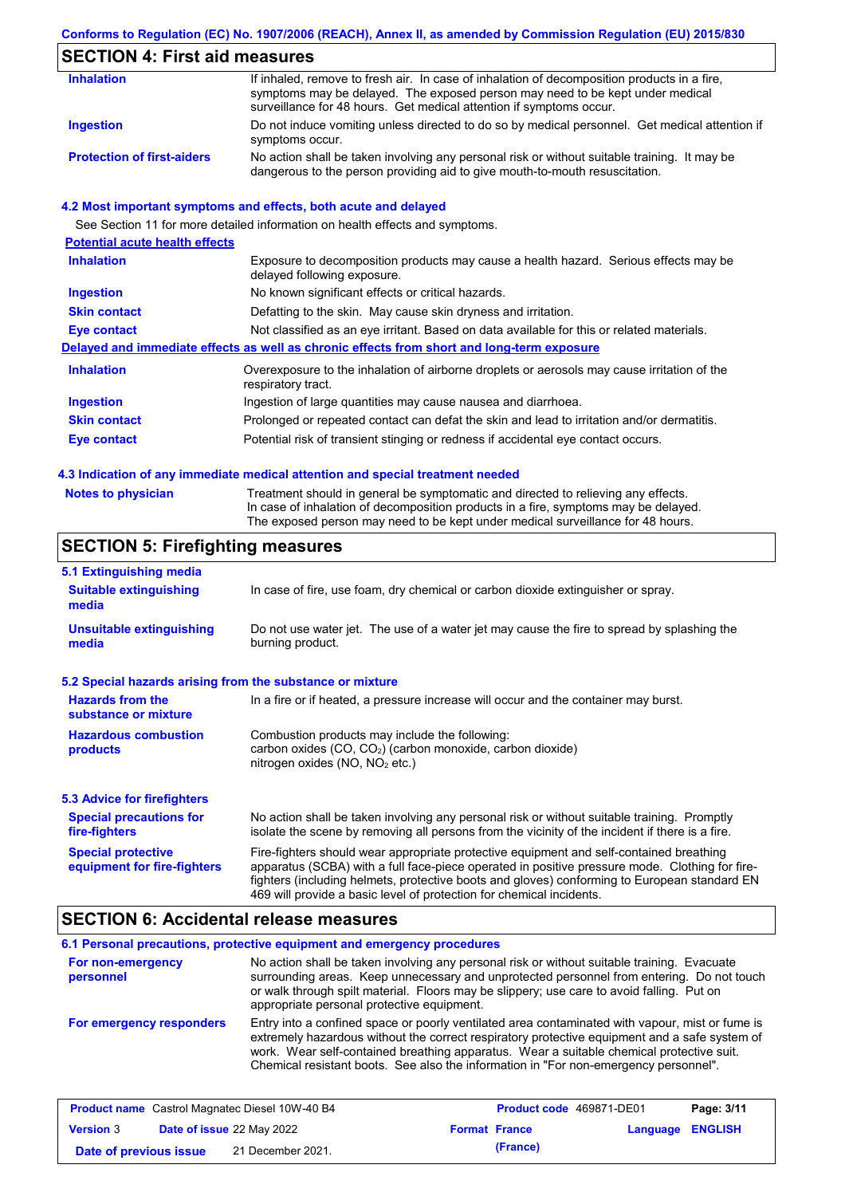### **Conforms to Regulation (EC) No. 1907/2006 (REACH), Annex II, as amended by Commission Regulation (EU) 2015/830**

## **SECTION 4: First aid measures**

| <b>Inhalation</b>                 | If inhaled, remove to fresh air. In case of inhalation of decomposition products in a fire,<br>symptoms may be delayed. The exposed person may need to be kept under medical<br>surveillance for 48 hours. Get medical attention if symptoms occur. |
|-----------------------------------|-----------------------------------------------------------------------------------------------------------------------------------------------------------------------------------------------------------------------------------------------------|
| Ingestion                         | Do not induce vomiting unless directed to do so by medical personnel. Get medical attention if<br>symptoms occur.                                                                                                                                   |
| <b>Protection of first-aiders</b> | No action shall be taken involving any personal risk or without suitable training. It may be<br>dangerous to the person providing aid to give mouth-to-mouth resuscitation.                                                                         |

### **4.2 Most important symptoms and effects, both acute and delayed**

|                                       | See Section 11 for more detailed information on health effects and symptoms.                                        |
|---------------------------------------|---------------------------------------------------------------------------------------------------------------------|
| <b>Potential acute health effects</b> |                                                                                                                     |
| <b>Inhalation</b>                     | Exposure to decomposition products may cause a health hazard. Serious effects may be<br>delayed following exposure. |
| <b>Ingestion</b>                      | No known significant effects or critical hazards.                                                                   |
| <b>Skin contact</b>                   | Defatting to the skin. May cause skin dryness and irritation.                                                       |
| Eye contact                           | Not classified as an eye irritant. Based on data available for this or related materials.                           |
|                                       | Delayed and immediate effects as well as chronic effects from short and long-term exposure                          |
| <b>Inhalation</b>                     | Overexposure to the inhalation of airborne droplets or aerosols may cause irritation of the<br>respiratory tract.   |
| Ingestion                             | Ingestion of large quantities may cause nausea and diarrhoea.                                                       |
| <b>Skin contact</b>                   | Prolonged or repeated contact can defat the skin and lead to irritation and/or dermatitis.                          |
| Eye contact                           | Potential risk of transient stinging or redness if accidental eye contact occurs.                                   |
|                                       |                                                                                                                     |

### **4.3 Indication of any immediate medical attention and special treatment needed**

|  | <b>Notes to physician</b> |
|--|---------------------------|
|--|---------------------------|

Treatment should in general be symptomatic and directed to relieving any effects. In case of inhalation of decomposition products in a fire, symptoms may be delayed. The exposed person may need to be kept under medical surveillance for 48 hours.

### **SECTION 5: Firefighting measures**

| 5.1 Extinguishing media                                                                                                                                    |                                                                                                                                                                                                                                                                                                                                                                   |  |  |
|------------------------------------------------------------------------------------------------------------------------------------------------------------|-------------------------------------------------------------------------------------------------------------------------------------------------------------------------------------------------------------------------------------------------------------------------------------------------------------------------------------------------------------------|--|--|
| <b>Suitable extinguishing</b><br>media                                                                                                                     | In case of fire, use foam, dry chemical or carbon dioxide extinguisher or spray.                                                                                                                                                                                                                                                                                  |  |  |
| <b>Unsuitable extinguishing</b><br>Do not use water jet. The use of a water jet may cause the fire to spread by splashing the<br>burning product.<br>media |                                                                                                                                                                                                                                                                                                                                                                   |  |  |
| 5.2 Special hazards arising from the substance or mixture                                                                                                  |                                                                                                                                                                                                                                                                                                                                                                   |  |  |
| <b>Hazards from the</b><br>substance or mixture                                                                                                            | In a fire or if heated, a pressure increase will occur and the container may burst.                                                                                                                                                                                                                                                                               |  |  |
| <b>Hazardous combustion</b><br>products                                                                                                                    | Combustion products may include the following:<br>carbon oxides $(CO, CO2)$ (carbon monoxide, carbon dioxide)<br>nitrogen oxides ( $NO$ , $NO2$ etc.)                                                                                                                                                                                                             |  |  |
| 5.3 Advice for firefighters                                                                                                                                |                                                                                                                                                                                                                                                                                                                                                                   |  |  |
| <b>Special precautions for</b><br>fire-fighters                                                                                                            | No action shall be taken involving any personal risk or without suitable training. Promptly<br>isolate the scene by removing all persons from the vicinity of the incident if there is a fire.                                                                                                                                                                    |  |  |
| <b>Special protective</b><br>equipment for fire-fighters                                                                                                   | Fire-fighters should wear appropriate protective equipment and self-contained breathing<br>apparatus (SCBA) with a full face-piece operated in positive pressure mode. Clothing for fire-<br>fighters (including helmets, protective boots and gloves) conforming to European standard EN<br>469 will provide a basic level of protection for chemical incidents. |  |  |

### **SECTION 6: Accidental release measures**

#### **6.1 Personal precautions, protective equipment and emergency procedures For non-emergency personnel** No action shall be taken involving any personal risk or without suitable training. Evacuate surrounding areas. Keep unnecessary and unprotected personnel from entering. Do not touch

#### **For emergency responders** or walk through spilt material. Floors may be slippery; use care to avoid falling. Put on appropriate personal protective equipment. Entry into a confined space or poorly ventilated area contaminated with vapour, mist or fume is extremely hazardous without the correct respiratory protective equipment and a safe system of work. Wear self-contained breathing apparatus. Wear a suitable chemical protective suit. Chemical resistant boots. See also the information in "For non-emergency personnel".

| <b>Product name</b> Castrol Magnatec Diesel 10W-40 B4 |  |                                  | <b>Product code</b> 469871-DE01 |                      | Page: 3/11              |  |
|-------------------------------------------------------|--|----------------------------------|---------------------------------|----------------------|-------------------------|--|
| <b>Version 3</b>                                      |  | <b>Date of issue 22 May 2022</b> |                                 | <b>Format France</b> | <b>Language ENGLISH</b> |  |
| Date of previous issue                                |  | 21 December 2021.                |                                 | (France)             |                         |  |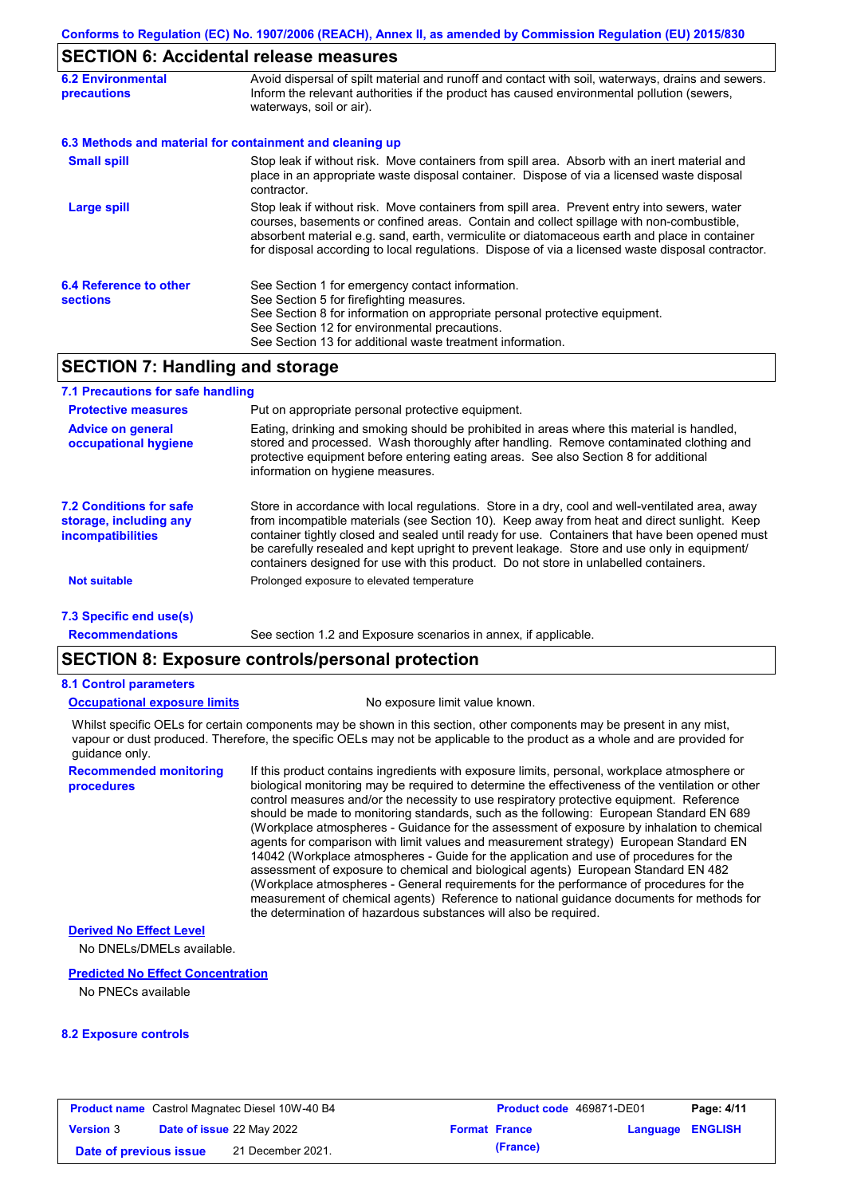## **SECTION 6: Accidental release measures**

| <b>6.2 Environmental</b><br><b>precautions</b> | Avoid dispersal of spilt material and runoff and contact with soil, waterways, drains and sewers.<br>Inform the relevant authorities if the product has caused environmental pollution (sewers,<br>waterways, soil or air).                                                                                                                                                                    |  |  |  |
|------------------------------------------------|------------------------------------------------------------------------------------------------------------------------------------------------------------------------------------------------------------------------------------------------------------------------------------------------------------------------------------------------------------------------------------------------|--|--|--|
|                                                | 6.3 Methods and material for containment and cleaning up                                                                                                                                                                                                                                                                                                                                       |  |  |  |
| <b>Small spill</b>                             | Stop leak if without risk. Move containers from spill area. Absorb with an inert material and<br>place in an appropriate waste disposal container. Dispose of via a licensed waste disposal<br>contractor.                                                                                                                                                                                     |  |  |  |
| Large spill                                    | Stop leak if without risk. Move containers from spill area. Prevent entry into sewers, water<br>courses, basements or confined areas. Contain and collect spillage with non-combustible,<br>absorbent material e.g. sand, earth, vermiculite or diatomaceous earth and place in container<br>for disposal according to local regulations. Dispose of via a licensed waste disposal contractor. |  |  |  |
| 6.4 Reference to other<br><b>sections</b>      | See Section 1 for emergency contact information.<br>See Section 5 for firefighting measures.<br>See Section 8 for information on appropriate personal protective equipment.<br>See Section 12 for environmental precautions.<br>See Section 13 for additional waste treatment information.                                                                                                     |  |  |  |

## **SECTION 7: Handling and storage**

| 7.1 Precautions for safe handling                                                    |                                                                                                                                                                                                                                                                                                                                                                                                                                                                                          |
|--------------------------------------------------------------------------------------|------------------------------------------------------------------------------------------------------------------------------------------------------------------------------------------------------------------------------------------------------------------------------------------------------------------------------------------------------------------------------------------------------------------------------------------------------------------------------------------|
| <b>Protective measures</b>                                                           | Put on appropriate personal protective equipment.                                                                                                                                                                                                                                                                                                                                                                                                                                        |
| <b>Advice on general</b><br>occupational hygiene                                     | Eating, drinking and smoking should be prohibited in areas where this material is handled,<br>stored and processed. Wash thoroughly after handling. Remove contaminated clothing and<br>protective equipment before entering eating areas. See also Section 8 for additional<br>information on hygiene measures.                                                                                                                                                                         |
| <b>7.2 Conditions for safe</b><br>storage, including any<br><i>incompatibilities</i> | Store in accordance with local requlations. Store in a dry, cool and well-ventilated area, away<br>from incompatible materials (see Section 10). Keep away from heat and direct sunlight. Keep<br>container tightly closed and sealed until ready for use. Containers that have been opened must<br>be carefully resealed and kept upright to prevent leakage. Store and use only in equipment/<br>containers designed for use with this product. Do not store in unlabelled containers. |
| <b>Not suitable</b>                                                                  | Prolonged exposure to elevated temperature                                                                                                                                                                                                                                                                                                                                                                                                                                               |
| 7.3 Specific end use(s)                                                              |                                                                                                                                                                                                                                                                                                                                                                                                                                                                                          |
| <b>Recommendations</b>                                                               | See section 1.2 and Exposure scenarios in annex, if applicable.                                                                                                                                                                                                                                                                                                                                                                                                                          |

## **SECTION 8: Exposure controls/personal protection**

### **8.1 Control parameters**

### **Occupational exposure limits** No exposure limit value known.

Whilst specific OELs for certain components may be shown in this section, other components may be present in any mist, vapour or dust produced. Therefore, the specific OELs may not be applicable to the product as a whole and are provided for guidance only.

**Recommended monitoring procedures**

If this product contains ingredients with exposure limits, personal, workplace atmosphere or biological monitoring may be required to determine the effectiveness of the ventilation or other control measures and/or the necessity to use respiratory protective equipment. Reference should be made to monitoring standards, such as the following: European Standard EN 689 (Workplace atmospheres - Guidance for the assessment of exposure by inhalation to chemical agents for comparison with limit values and measurement strategy) European Standard EN 14042 (Workplace atmospheres - Guide for the application and use of procedures for the assessment of exposure to chemical and biological agents) European Standard EN 482 (Workplace atmospheres - General requirements for the performance of procedures for the measurement of chemical agents) Reference to national guidance documents for methods for the determination of hazardous substances will also be required.

### **Derived No Effect Level**

No DNELs/DMELs available.

### **Predicted No Effect Concentration**

No PNECs available

### **8.2 Exposure controls**

|                        | <b>Product name</b> Castrol Magnatec Diesel 10W-40 B4 | <b>Product code</b> 469871-DE01 |                         | Page: 4/11 |
|------------------------|-------------------------------------------------------|---------------------------------|-------------------------|------------|
| <b>Version 3</b>       | <b>Date of issue 22 May 2022</b>                      | <b>Format France</b>            | <b>Language ENGLISH</b> |            |
| Date of previous issue | 21 December 2021.                                     | (France)                        |                         |            |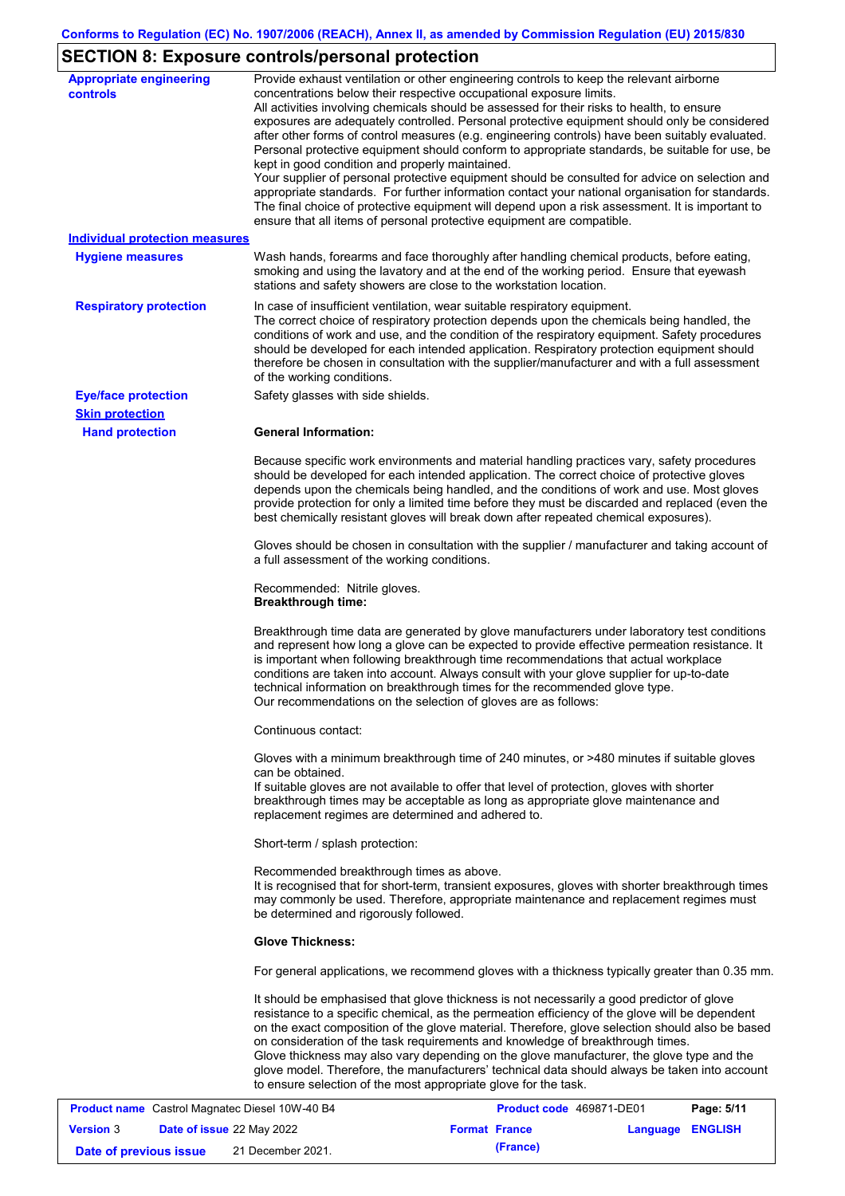# **SECTION 8: Exposure controls/personal protection**

| <b>Appropriate engineering</b><br>controls<br><b>Individual protection measures</b><br><b>Hygiene measures</b><br><b>Respiratory protection</b> | Provide exhaust ventilation or other engineering controls to keep the relevant airborne<br>concentrations below their respective occupational exposure limits.<br>All activities involving chemicals should be assessed for their risks to health, to ensure<br>exposures are adequately controlled. Personal protective equipment should only be considered<br>after other forms of control measures (e.g. engineering controls) have been suitably evaluated.<br>Personal protective equipment should conform to appropriate standards, be suitable for use, be<br>kept in good condition and properly maintained.<br>Your supplier of personal protective equipment should be consulted for advice on selection and<br>appropriate standards. For further information contact your national organisation for standards.<br>The final choice of protective equipment will depend upon a risk assessment. It is important to<br>ensure that all items of personal protective equipment are compatible.<br>Wash hands, forearms and face thoroughly after handling chemical products, before eating,<br>smoking and using the lavatory and at the end of the working period. Ensure that eyewash<br>stations and safety showers are close to the workstation location.<br>In case of insufficient ventilation, wear suitable respiratory equipment. |
|-------------------------------------------------------------------------------------------------------------------------------------------------|-----------------------------------------------------------------------------------------------------------------------------------------------------------------------------------------------------------------------------------------------------------------------------------------------------------------------------------------------------------------------------------------------------------------------------------------------------------------------------------------------------------------------------------------------------------------------------------------------------------------------------------------------------------------------------------------------------------------------------------------------------------------------------------------------------------------------------------------------------------------------------------------------------------------------------------------------------------------------------------------------------------------------------------------------------------------------------------------------------------------------------------------------------------------------------------------------------------------------------------------------------------------------------------------------------------------------------------------------------|
|                                                                                                                                                 | The correct choice of respiratory protection depends upon the chemicals being handled, the<br>conditions of work and use, and the condition of the respiratory equipment. Safety procedures<br>should be developed for each intended application. Respiratory protection equipment should<br>therefore be chosen in consultation with the supplier/manufacturer and with a full assessment<br>of the working conditions.                                                                                                                                                                                                                                                                                                                                                                                                                                                                                                                                                                                                                                                                                                                                                                                                                                                                                                                            |
| <b>Eye/face protection</b><br><b>Skin protection</b>                                                                                            | Safety glasses with side shields.                                                                                                                                                                                                                                                                                                                                                                                                                                                                                                                                                                                                                                                                                                                                                                                                                                                                                                                                                                                                                                                                                                                                                                                                                                                                                                                   |
| <b>Hand protection</b>                                                                                                                          | <b>General Information:</b>                                                                                                                                                                                                                                                                                                                                                                                                                                                                                                                                                                                                                                                                                                                                                                                                                                                                                                                                                                                                                                                                                                                                                                                                                                                                                                                         |
|                                                                                                                                                 | Because specific work environments and material handling practices vary, safety procedures<br>should be developed for each intended application. The correct choice of protective gloves<br>depends upon the chemicals being handled, and the conditions of work and use. Most gloves<br>provide protection for only a limited time before they must be discarded and replaced (even the<br>best chemically resistant gloves will break down after repeated chemical exposures).                                                                                                                                                                                                                                                                                                                                                                                                                                                                                                                                                                                                                                                                                                                                                                                                                                                                    |
|                                                                                                                                                 | Gloves should be chosen in consultation with the supplier / manufacturer and taking account of<br>a full assessment of the working conditions.                                                                                                                                                                                                                                                                                                                                                                                                                                                                                                                                                                                                                                                                                                                                                                                                                                                                                                                                                                                                                                                                                                                                                                                                      |
|                                                                                                                                                 | Recommended: Nitrile gloves.<br><b>Breakthrough time:</b>                                                                                                                                                                                                                                                                                                                                                                                                                                                                                                                                                                                                                                                                                                                                                                                                                                                                                                                                                                                                                                                                                                                                                                                                                                                                                           |
|                                                                                                                                                 | Breakthrough time data are generated by glove manufacturers under laboratory test conditions<br>and represent how long a glove can be expected to provide effective permeation resistance. It<br>is important when following breakthrough time recommendations that actual workplace<br>conditions are taken into account. Always consult with your glove supplier for up-to-date<br>technical information on breakthrough times for the recommended glove type.<br>Our recommendations on the selection of gloves are as follows:                                                                                                                                                                                                                                                                                                                                                                                                                                                                                                                                                                                                                                                                                                                                                                                                                  |
|                                                                                                                                                 | Continuous contact:                                                                                                                                                                                                                                                                                                                                                                                                                                                                                                                                                                                                                                                                                                                                                                                                                                                                                                                                                                                                                                                                                                                                                                                                                                                                                                                                 |
|                                                                                                                                                 | Gloves with a minimum breakthrough time of 240 minutes, or >480 minutes if suitable gloves<br>can be obtained.<br>If suitable gloves are not available to offer that level of protection, gloves with shorter<br>breakthrough times may be acceptable as long as appropriate glove maintenance and<br>replacement regimes are determined and adhered to.                                                                                                                                                                                                                                                                                                                                                                                                                                                                                                                                                                                                                                                                                                                                                                                                                                                                                                                                                                                            |
|                                                                                                                                                 | Short-term / splash protection:                                                                                                                                                                                                                                                                                                                                                                                                                                                                                                                                                                                                                                                                                                                                                                                                                                                                                                                                                                                                                                                                                                                                                                                                                                                                                                                     |
|                                                                                                                                                 | Recommended breakthrough times as above.<br>It is recognised that for short-term, transient exposures, gloves with shorter breakthrough times<br>may commonly be used. Therefore, appropriate maintenance and replacement regimes must<br>be determined and rigorously followed.                                                                                                                                                                                                                                                                                                                                                                                                                                                                                                                                                                                                                                                                                                                                                                                                                                                                                                                                                                                                                                                                    |
|                                                                                                                                                 | <b>Glove Thickness:</b>                                                                                                                                                                                                                                                                                                                                                                                                                                                                                                                                                                                                                                                                                                                                                                                                                                                                                                                                                                                                                                                                                                                                                                                                                                                                                                                             |
|                                                                                                                                                 | For general applications, we recommend gloves with a thickness typically greater than 0.35 mm.                                                                                                                                                                                                                                                                                                                                                                                                                                                                                                                                                                                                                                                                                                                                                                                                                                                                                                                                                                                                                                                                                                                                                                                                                                                      |
|                                                                                                                                                 | It should be emphasised that glove thickness is not necessarily a good predictor of glove<br>resistance to a specific chemical, as the permeation efficiency of the glove will be dependent<br>on the exact composition of the glove material. Therefore, glove selection should also be based<br>on consideration of the task requirements and knowledge of breakthrough times.<br>Glove thickness may also vary depending on the glove manufacturer, the glove type and the<br>glove model. Therefore, the manufacturers' technical data should always be taken into account<br>to ensure selection of the most appropriate glove for the task.                                                                                                                                                                                                                                                                                                                                                                                                                                                                                                                                                                                                                                                                                                   |

|                        | <b>Product name</b> Castrol Magnatec Diesel 10W-40 B4 |                      | <b>Product code</b> 469871-DE01 |                  | Page: 5/11 |
|------------------------|-------------------------------------------------------|----------------------|---------------------------------|------------------|------------|
| <b>Version 3</b>       | <b>Date of issue 22 May 2022</b>                      | <b>Format France</b> |                                 | Language ENGLISH |            |
| Date of previous issue | 21 December 2021.                                     |                      | (France)                        |                  |            |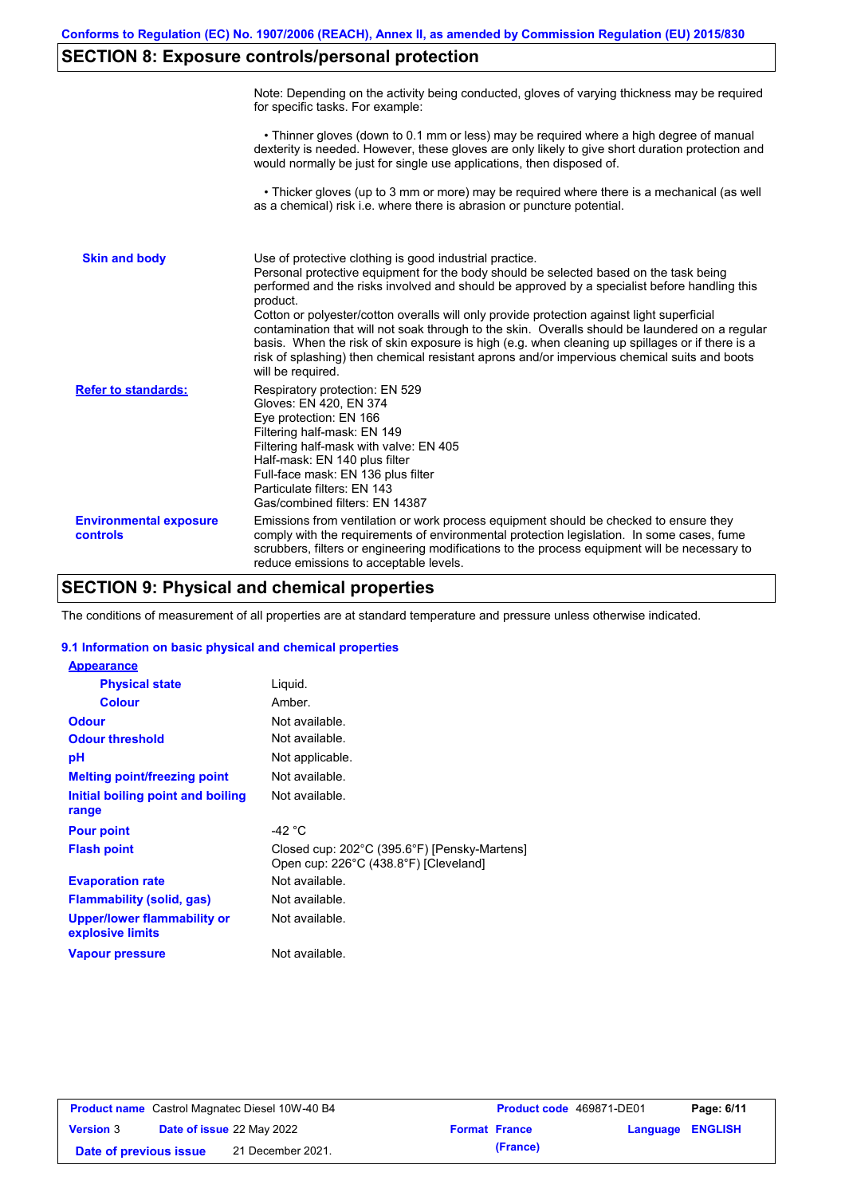## **SECTION 8: Exposure controls/personal protection**

|                                           | Note: Depending on the activity being conducted, gloves of varying thickness may be required<br>for specific tasks. For example:                                                                                                                                                                                                                                                                                                                                                                                                                                                                                                                                                      |
|-------------------------------------------|---------------------------------------------------------------------------------------------------------------------------------------------------------------------------------------------------------------------------------------------------------------------------------------------------------------------------------------------------------------------------------------------------------------------------------------------------------------------------------------------------------------------------------------------------------------------------------------------------------------------------------------------------------------------------------------|
|                                           | • Thinner gloves (down to 0.1 mm or less) may be required where a high degree of manual<br>dexterity is needed. However, these gloves are only likely to give short duration protection and<br>would normally be just for single use applications, then disposed of.                                                                                                                                                                                                                                                                                                                                                                                                                  |
|                                           | • Thicker gloves (up to 3 mm or more) may be required where there is a mechanical (as well<br>as a chemical) risk i.e. where there is abrasion or puncture potential.                                                                                                                                                                                                                                                                                                                                                                                                                                                                                                                 |
| <b>Skin and body</b>                      | Use of protective clothing is good industrial practice.<br>Personal protective equipment for the body should be selected based on the task being<br>performed and the risks involved and should be approved by a specialist before handling this<br>product.<br>Cotton or polyester/cotton overalls will only provide protection against light superficial<br>contamination that will not soak through to the skin. Overalls should be laundered on a regular<br>basis. When the risk of skin exposure is high (e.g. when cleaning up spillages or if there is a<br>risk of splashing) then chemical resistant aprons and/or impervious chemical suits and boots<br>will be required. |
| <b>Refer to standards:</b>                | Respiratory protection: EN 529<br>Gloves: EN 420, EN 374<br>Eye protection: EN 166<br>Filtering half-mask: EN 149<br>Filtering half-mask with valve: EN 405<br>Half-mask: EN 140 plus filter<br>Full-face mask: EN 136 plus filter<br>Particulate filters: EN 143<br>Gas/combined filters: EN 14387                                                                                                                                                                                                                                                                                                                                                                                   |
| <b>Environmental exposure</b><br>controls | Emissions from ventilation or work process equipment should be checked to ensure they<br>comply with the requirements of environmental protection legislation. In some cases, fume<br>scrubbers, filters or engineering modifications to the process equipment will be necessary to<br>reduce emissions to acceptable levels.                                                                                                                                                                                                                                                                                                                                                         |

## **SECTION 9: Physical and chemical properties**

The conditions of measurement of all properties are at standard temperature and pressure unless otherwise indicated.

### **9.1 Information on basic physical and chemical properties**

| <b>Appearance</b>                                      |                                                                                       |
|--------------------------------------------------------|---------------------------------------------------------------------------------------|
| <b>Physical state</b>                                  | Liquid.                                                                               |
| <b>Colour</b>                                          | Amber.                                                                                |
| <b>Odour</b>                                           | Not available.                                                                        |
| <b>Odour threshold</b>                                 | Not available.                                                                        |
| рH                                                     | Not applicable.                                                                       |
| <b>Melting point/freezing point</b>                    | Not available.                                                                        |
| Initial boiling point and boiling<br>range             | Not available.                                                                        |
| <b>Pour point</b>                                      | -42 °C                                                                                |
| <b>Flash point</b>                                     | Closed cup: 202°C (395.6°F) [Pensky-Martens]<br>Open cup: 226°C (438.8°F) [Cleveland] |
| <b>Evaporation rate</b>                                | Not available.                                                                        |
| <b>Flammability (solid, gas)</b>                       | Not available.                                                                        |
| <b>Upper/lower flammability or</b><br>explosive limits | Not available.                                                                        |
| <b>Vapour pressure</b>                                 | Not available.                                                                        |

|                        | <b>Product name</b> Castrol Magnatec Diesel 10W-40 B4 | <b>Product code</b> 469871-DE01 |                         | Page: 6/11 |
|------------------------|-------------------------------------------------------|---------------------------------|-------------------------|------------|
| <b>Version 3</b>       | <b>Date of issue 22 May 2022</b>                      | <b>Format France</b>            | <b>Language ENGLISH</b> |            |
| Date of previous issue | 21 December 2021.                                     | (France)                        |                         |            |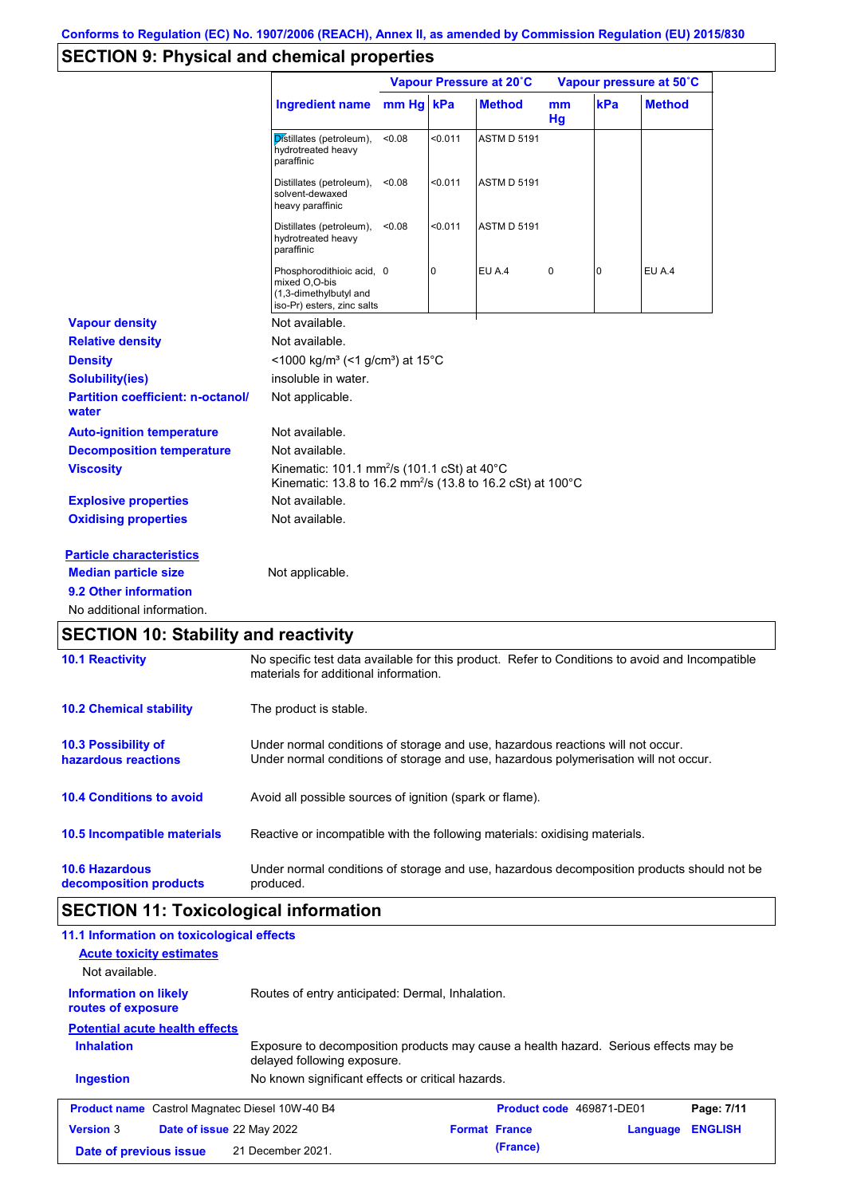## **SECTION 9: Physical and chemical properties**

|                                                   |                                                                                                                                   | Vapour Pressure at 20°C |         |                    | Vapour pressure at 50°C |     |               |
|---------------------------------------------------|-----------------------------------------------------------------------------------------------------------------------------------|-------------------------|---------|--------------------|-------------------------|-----|---------------|
|                                                   | <b>Ingredient name</b>                                                                                                            | mm Hg kPa               |         | <b>Method</b>      | mm<br>Hg                | kPa | <b>Method</b> |
|                                                   | Distillates (petroleum),<br>hydrotreated heavy<br>paraffinic                                                                      | < 0.08                  | < 0.011 | <b>ASTM D 5191</b> |                         |     |               |
|                                                   | Distillates (petroleum),<br>solvent-dewaxed<br>heavy paraffinic                                                                   | < 0.08                  | <0.011  | <b>ASTM D 5191</b> |                         |     |               |
|                                                   | Distillates (petroleum),<br>hydrotreated heavy<br>paraffinic                                                                      | < 0.08                  | < 0.011 | <b>ASTM D 5191</b> |                         |     |               |
|                                                   | Phosphorodithioic acid, 0<br>mixed O,O-bis<br>(1,3-dimethylbutyl and<br>iso-Pr) esters, zinc salts                                |                         | 0       | <b>EU A.4</b>      | $\pmb{0}$               | 0   | EU A.4        |
| <b>Vapour density</b>                             | Not available.                                                                                                                    |                         |         |                    |                         |     |               |
| <b>Relative density</b>                           | Not available.                                                                                                                    |                         |         |                    |                         |     |               |
| <b>Density</b>                                    | <1000 kg/m <sup>3</sup> (<1 g/cm <sup>3</sup> ) at 15°C                                                                           |                         |         |                    |                         |     |               |
| <b>Solubility(ies)</b>                            | insoluble in water.                                                                                                               |                         |         |                    |                         |     |               |
| <b>Partition coefficient: n-octanol/</b><br>water | Not applicable.                                                                                                                   |                         |         |                    |                         |     |               |
| <b>Auto-ignition temperature</b>                  | Not available.                                                                                                                    |                         |         |                    |                         |     |               |
| <b>Decomposition temperature</b>                  | Not available.                                                                                                                    |                         |         |                    |                         |     |               |
| <b>Viscosity</b>                                  | Kinematic: 101.1 mm <sup>2</sup> /s (101.1 cSt) at 40°C<br>Kinematic: 13.8 to 16.2 mm <sup>2</sup> /s (13.8 to 16.2 cSt) at 100°C |                         |         |                    |                         |     |               |
| <b>Explosive properties</b>                       | Not available.                                                                                                                    |                         |         |                    |                         |     |               |
| <b>Oxidising properties</b>                       | Not available.                                                                                                                    |                         |         |                    |                         |     |               |
| <b>Particle characteristics</b>                   |                                                                                                                                   |                         |         |                    |                         |     |               |
| <b>Median particle size</b>                       | Not applicable.                                                                                                                   |                         |         |                    |                         |     |               |
| 9.2 Other information                             |                                                                                                                                   |                         |         |                    |                         |     |               |
| No additional information.                        |                                                                                                                                   |                         |         |                    |                         |     |               |

| <b>10.1 Reactivity</b>                            | No specific test data available for this product. Refer to Conditions to avoid and Incompatible<br>materials for additional information.                                |
|---------------------------------------------------|-------------------------------------------------------------------------------------------------------------------------------------------------------------------------|
| <b>10.2 Chemical stability</b>                    | The product is stable.                                                                                                                                                  |
| <b>10.3 Possibility of</b><br>hazardous reactions | Under normal conditions of storage and use, hazardous reactions will not occur.<br>Under normal conditions of storage and use, hazardous polymerisation will not occur. |
| <b>10.4 Conditions to avoid</b>                   | Avoid all possible sources of ignition (spark or flame).                                                                                                                |
| <b>10.5 Incompatible materials</b>                | Reactive or incompatible with the following materials: oxidising materials.                                                                                             |
| <b>10.6 Hazardous</b><br>decomposition products   | Under normal conditions of storage and use, hazardous decomposition products should not be<br>produced.                                                                 |

# **SECTION 11: Toxicological information**

| 11.1 Information on toxicological effects                            |                                                                                                                     |                      |                          |          |                |
|----------------------------------------------------------------------|---------------------------------------------------------------------------------------------------------------------|----------------------|--------------------------|----------|----------------|
| <b>Acute toxicity estimates</b>                                      |                                                                                                                     |                      |                          |          |                |
| Not available.<br><b>Information on likely</b><br>routes of exposure | Routes of entry anticipated: Dermal, Inhalation.                                                                    |                      |                          |          |                |
| <b>Potential acute health effects</b>                                |                                                                                                                     |                      |                          |          |                |
| <b>Inhalation</b>                                                    | Exposure to decomposition products may cause a health hazard. Serious effects may be<br>delayed following exposure. |                      |                          |          |                |
| <b>Ingestion</b>                                                     | No known significant effects or critical hazards.                                                                   |                      |                          |          |                |
| <b>Product name</b> Castrol Magnatec Diesel 10W-40 B4                |                                                                                                                     |                      | Product code 469871-DE01 |          | Page: 7/11     |
| <b>Version 3</b><br><b>Date of issue 22 May 2022</b>                 |                                                                                                                     | <b>Format France</b> |                          | Language | <b>ENGLISH</b> |
| Date of previous issue                                               | 21 December 2021.                                                                                                   |                      | (France)                 |          |                |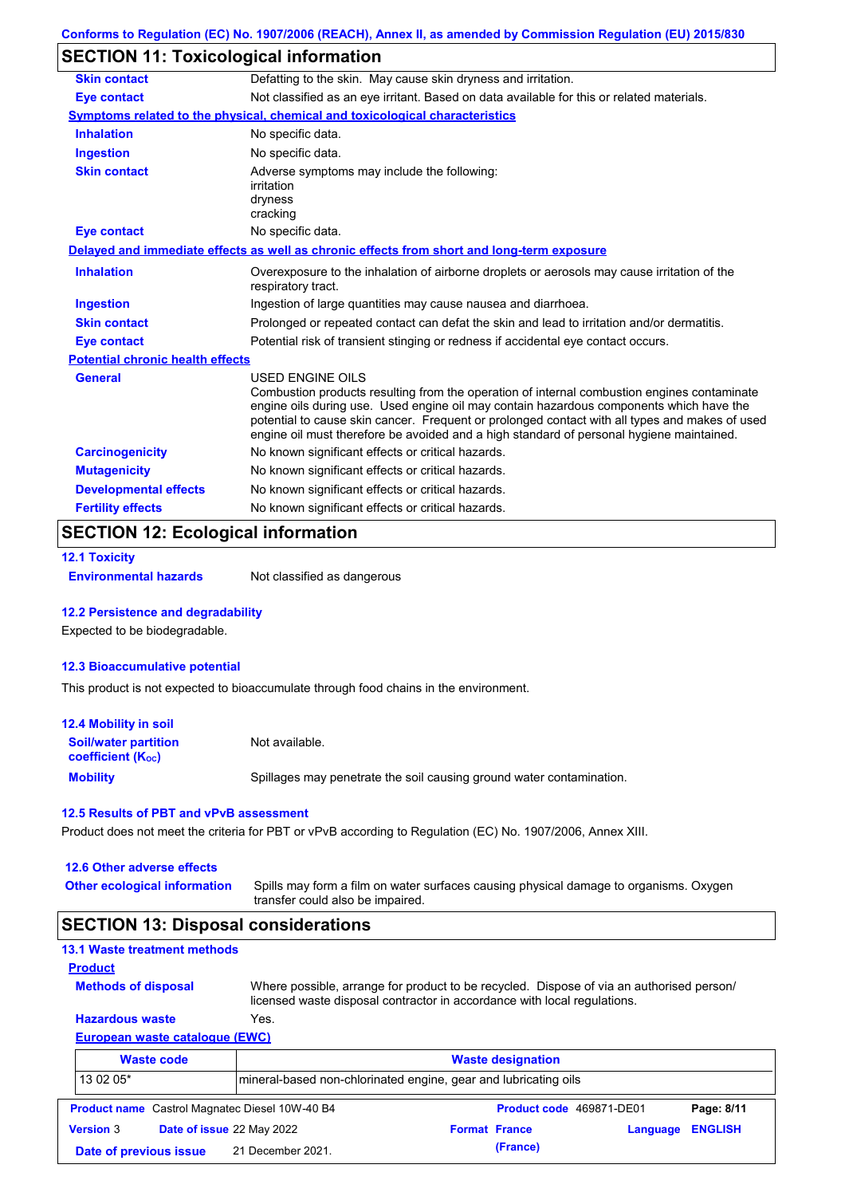## **SECTION 11: Toxicological information**

| <b>Skin contact</b>                     | Defatting to the skin. May cause skin dryness and irritation.                                                                                                                                                                                                                                                                                                                                            |
|-----------------------------------------|----------------------------------------------------------------------------------------------------------------------------------------------------------------------------------------------------------------------------------------------------------------------------------------------------------------------------------------------------------------------------------------------------------|
| <b>Eye contact</b>                      | Not classified as an eye irritant. Based on data available for this or related materials.                                                                                                                                                                                                                                                                                                                |
|                                         | Symptoms related to the physical, chemical and toxicological characteristics                                                                                                                                                                                                                                                                                                                             |
| <b>Inhalation</b>                       | No specific data.                                                                                                                                                                                                                                                                                                                                                                                        |
| <b>Ingestion</b>                        | No specific data.                                                                                                                                                                                                                                                                                                                                                                                        |
| <b>Skin contact</b>                     | Adverse symptoms may include the following:<br>irritation<br>dryness<br>cracking                                                                                                                                                                                                                                                                                                                         |
| <b>Eye contact</b>                      | No specific data.                                                                                                                                                                                                                                                                                                                                                                                        |
|                                         | Delayed and immediate effects as well as chronic effects from short and long-term exposure                                                                                                                                                                                                                                                                                                               |
| <b>Inhalation</b>                       | Overexposure to the inhalation of airborne droplets or aerosols may cause irritation of the<br>respiratory tract.                                                                                                                                                                                                                                                                                        |
| <b>Ingestion</b>                        | Ingestion of large quantities may cause nausea and diarrhoea.                                                                                                                                                                                                                                                                                                                                            |
| <b>Skin contact</b>                     | Prolonged or repeated contact can defat the skin and lead to irritation and/or dermatitis.                                                                                                                                                                                                                                                                                                               |
| <b>Eye contact</b>                      | Potential risk of transient stinging or redness if accidental eye contact occurs.                                                                                                                                                                                                                                                                                                                        |
| <b>Potential chronic health effects</b> |                                                                                                                                                                                                                                                                                                                                                                                                          |
| <b>General</b>                          | USED ENGINE OILS<br>Combustion products resulting from the operation of internal combustion engines contaminate<br>engine oils during use. Used engine oil may contain hazardous components which have the<br>potential to cause skin cancer. Frequent or prolonged contact with all types and makes of used<br>engine oil must therefore be avoided and a high standard of personal hygiene maintained. |
| <b>Carcinogenicity</b>                  | No known significant effects or critical hazards.                                                                                                                                                                                                                                                                                                                                                        |
| <b>Mutagenicity</b>                     | No known significant effects or critical hazards.                                                                                                                                                                                                                                                                                                                                                        |
| <b>Developmental effects</b>            | No known significant effects or critical hazards.                                                                                                                                                                                                                                                                                                                                                        |
| <b>Fertility effects</b>                | No known significant effects or critical hazards.                                                                                                                                                                                                                                                                                                                                                        |

## **SECTION 12: Ecological information**

```
12.1 Toxicity
```
**Environmental hazards** Not classified as dangerous

### **12.2 Persistence and degradability**

Expected to be biodegradable.

### **12.3 Bioaccumulative potential**

This product is not expected to bioaccumulate through food chains in the environment.

| <b>12.4 Mobility in soil</b>                            |                                                                      |
|---------------------------------------------------------|----------------------------------------------------------------------|
| <b>Soil/water partition</b><br><b>coefficient (Koc)</b> | Not available.                                                       |
| <b>Mobility</b>                                         | Spillages may penetrate the soil causing ground water contamination. |

### **12.5 Results of PBT and vPvB assessment**

Product does not meet the criteria for PBT or vPvB according to Regulation (EC) No. 1907/2006, Annex XIII.

**Other ecological information**

Spills may form a film on water surfaces causing physical damage to organisms. Oxygen transfer could also be impaired.

### **SECTION 13: Disposal considerations**

|  |  | <b>13.1 Waste treatment methods</b> |  |  |
|--|--|-------------------------------------|--|--|
|--|--|-------------------------------------|--|--|

**Methods of disposal**

**Product**

Where possible, arrange for product to be recycled. Dispose of via an authorised person/ licensed waste disposal contractor in accordance with local regulations.

### **European waste catalogue (EWC) Hazardous waste** Yes.

|                                             | <b>Waste code</b>         |                                                       |                                                                 | <b>Waste designation</b> |  |                         |
|---------------------------------------------|---------------------------|-------------------------------------------------------|-----------------------------------------------------------------|--------------------------|--|-------------------------|
| 13 02 05*                                   |                           |                                                       | mineral-based non-chlorinated engine, gear and lubricating oils |                          |  |                         |
|                                             |                           | <b>Product name</b> Castrol Magnatec Diesel 10W-40 B4 |                                                                 | Product code 469871-DE01 |  | Page: 8/11              |
| <b>Version 3</b>                            | Date of issue 22 May 2022 |                                                       | <b>Format France</b>                                            |                          |  | <b>Language ENGLISH</b> |
| 21 December 2021.<br>Date of previous issue |                           |                                                       | (France)                                                        |                          |  |                         |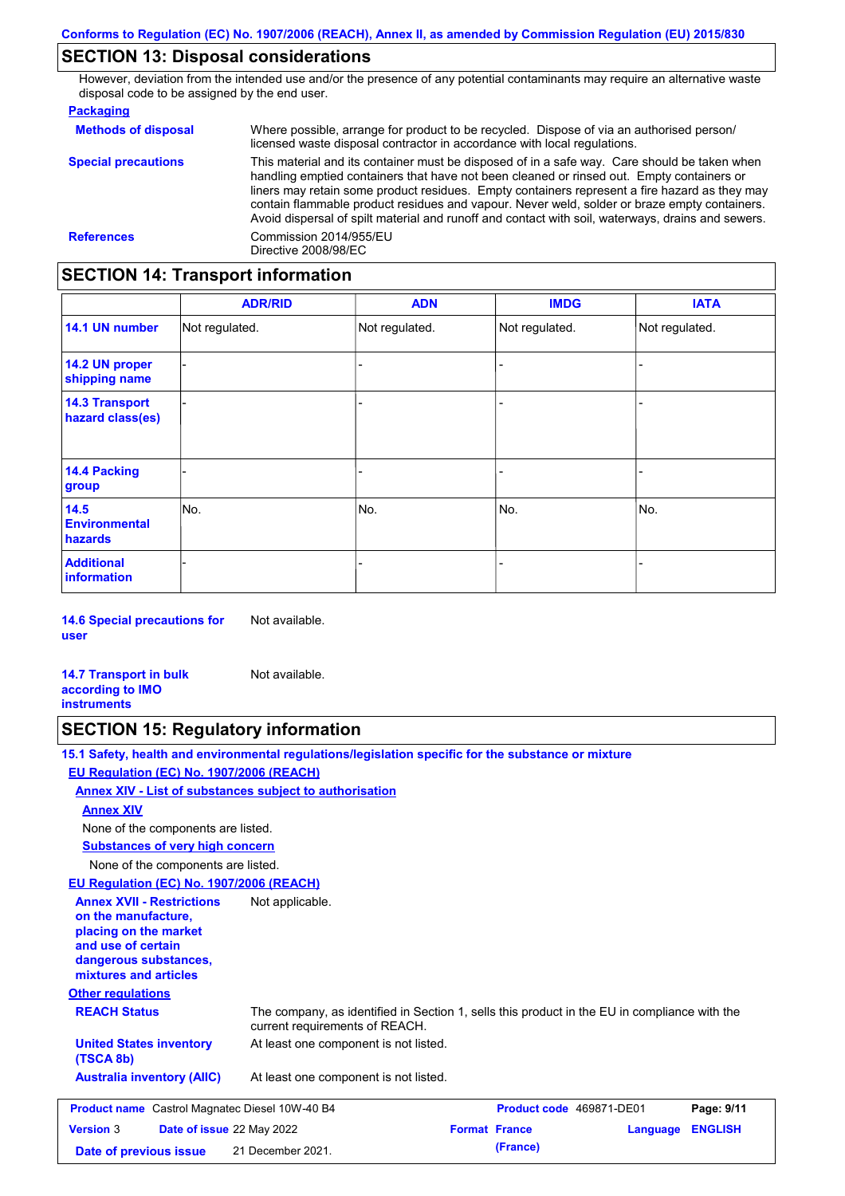## **SECTION 13: Disposal considerations**

However, deviation from the intended use and/or the presence of any potential contaminants may require an alternative waste disposal code to be assigned by the end user.

### **Packaging**

| <b>Methods of disposal</b> | Where possible, arrange for product to be recycled. Dispose of via an authorised person/<br>licensed waste disposal contractor in accordance with local regulations.                                                                                                                                                                                                                                                                                                                            |
|----------------------------|-------------------------------------------------------------------------------------------------------------------------------------------------------------------------------------------------------------------------------------------------------------------------------------------------------------------------------------------------------------------------------------------------------------------------------------------------------------------------------------------------|
| <b>Special precautions</b> | This material and its container must be disposed of in a safe way. Care should be taken when<br>handling emptied containers that have not been cleaned or rinsed out. Empty containers or<br>liners may retain some product residues. Empty containers represent a fire hazard as they may<br>contain flammable product residues and vapour. Never weld, solder or braze empty containers.<br>Avoid dispersal of spilt material and runoff and contact with soil, waterways, drains and sewers. |
| <b>References</b>          | Commission 2014/955/EU<br>Directive 2008/98/EC                                                                                                                                                                                                                                                                                                                                                                                                                                                  |

## **SECTION 14: Transport information**

|                                           | <b>ADR/RID</b> | <b>ADN</b>     | <b>IMDG</b>    | <b>IATA</b>    |  |
|-------------------------------------------|----------------|----------------|----------------|----------------|--|
| 14.1 UN number                            | Not regulated. | Not regulated. | Not regulated. | Not regulated. |  |
| 14.2 UN proper<br>shipping name           |                |                | -              |                |  |
| <b>14.3 Transport</b><br>hazard class(es) |                |                | -              |                |  |
| 14.4 Packing<br>group                     |                |                | -              |                |  |
| 14.5<br><b>Environmental</b><br>hazards   | No.            | No.            | No.            | No.            |  |
| <b>Additional</b><br><b>information</b>   |                |                |                |                |  |

**14.6 Special precautions for user** Not available.

**14.7 Transport in bulk according to IMO instruments** Not available.

## **SECTION 15: Regulatory information**

**15.1 Safety, health and environmental regulations/legislation specific for the substance or mixture**

### **EU Regulation (EC) No. 1907/2006 (REACH)**

**Annex XIV - List of substances subject to authorisation**

### **Annex XIV**

None of the components are listed.

**Substances of very high concern**

None of the components are listed.

### **EU Regulation (EC) No. 1907/2006 (REACH)**

**Other regulations REACH Status** The company, as identified in Section 1, sells this product in the EU in compliance with the current requirements of REACH. At least one component is not listed. **United States inventory** At least one component is not listed. **(TSCA 8b) Australia inventory (AIIC) Annex XVII - Restrictions on the manufacture, placing on the market and use of certain dangerous substances, mixtures and articles** Not applicable. **Product name** Castrol Magnatec Diesel 10W-40 B4 **Product Code 469871-DE01 Page: 9/11 Version** 3 **Date of issue** 22 May 2022 **Format France Language ENGLISH Date of previous issue (France)** 21 December 2021.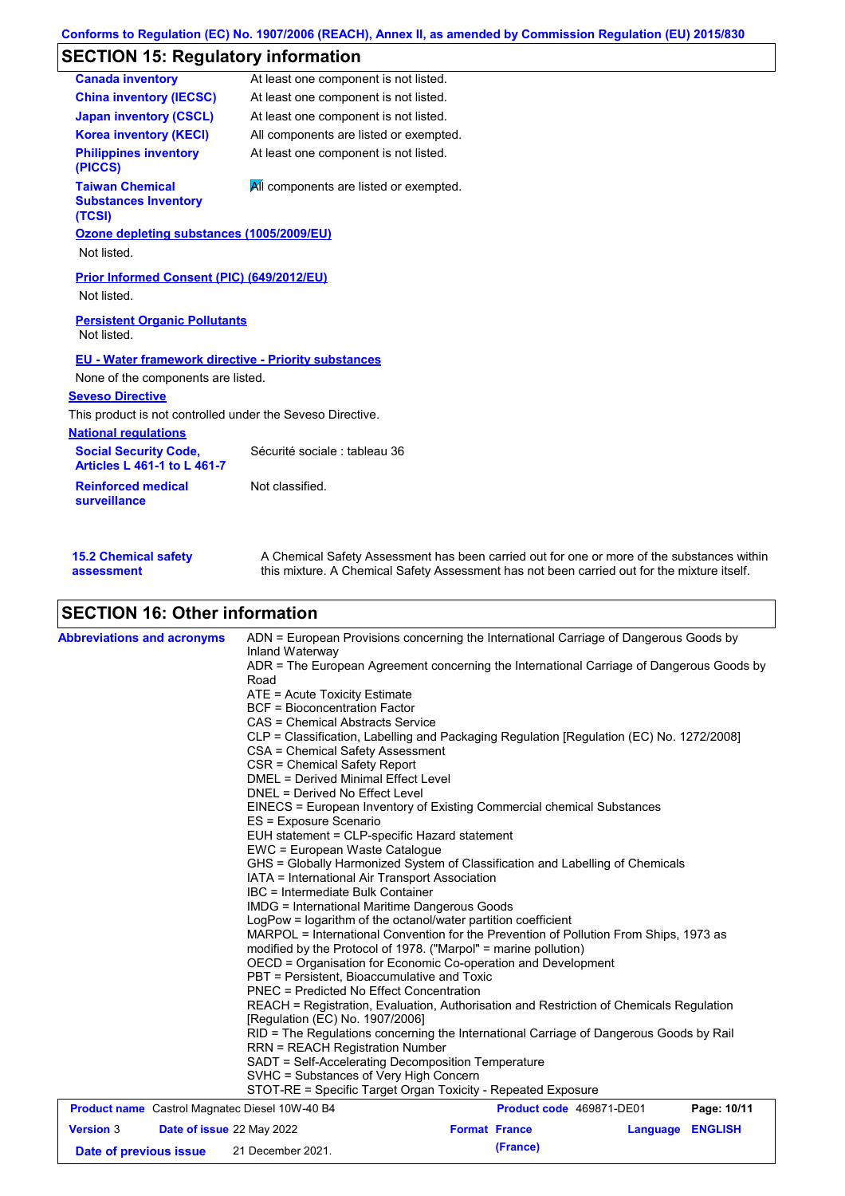## **SECTION 15: Regulatory information**

| <b>Canada inventory</b>                                            | At least one component is not listed.     |
|--------------------------------------------------------------------|-------------------------------------------|
| <b>China inventory (IECSC)</b>                                     | At least one component is not listed.     |
| <b>Japan inventory (CSCL)</b>                                      | At least one component is not listed.     |
| <b>Korea inventory (KECI)</b>                                      | All components are listed or exempted.    |
| <b>Philippines inventory</b><br>(PICCS)                            | At least one component is not listed.     |
| <b>Taiwan Chemical</b><br><b>Substances Inventory</b><br>(TCSI)    | All components are listed or exempted.    |
| Ozone depleting substances (1005/2009/EU)<br>Not listed.           |                                           |
| <b>Prior Informed Consent (PIC) (649/2012/EU)</b><br>Not listed.   |                                           |
| <b>Persistent Organic Pollutants</b><br>Not listed.                |                                           |
| <b>EU - Water framework directive - Priority substances</b>        |                                           |
| None of the components are listed.                                 |                                           |
| <b>Seveso Directive</b>                                            |                                           |
| This product is not controlled under the Seveso Directive.         |                                           |
| <b>National regulations</b>                                        |                                           |
| <b>Social Security Code,</b><br><b>Articles L 461-1 to L 461-7</b> | Sécurité sociale : tableau 36             |
| <b>Reinforced medical</b><br>surveillance                          | Not classified.                           |
| .                                                                  | $\sim$ $\sim$ $\sim$ $\sim$ $\sim$ $\sim$ |

| <b>15.2 Chemical safety</b> | A Chemical Safety Assessment has been carried out for one or more of the substances within  |
|-----------------------------|---------------------------------------------------------------------------------------------|
| assessment                  | this mixture. A Chemical Safety Assessment has not been carried out for the mixture itself. |

# **SECTION 16: Other information**

| <b>Abbreviations and acronyms</b> |  | ADN = European Provisions concerning the International Carriage of Dangerous Goods by<br>Inland Waterway                                                                        |  |                          |          |                |  |  |
|-----------------------------------|--|---------------------------------------------------------------------------------------------------------------------------------------------------------------------------------|--|--------------------------|----------|----------------|--|--|
|                                   |  | ADR = The European Agreement concerning the International Carriage of Dangerous Goods by<br>Road                                                                                |  |                          |          |                |  |  |
|                                   |  | ATE = Acute Toxicity Estimate                                                                                                                                                   |  |                          |          |                |  |  |
|                                   |  | <b>BCF</b> = Bioconcentration Factor                                                                                                                                            |  |                          |          |                |  |  |
|                                   |  | CAS = Chemical Abstracts Service                                                                                                                                                |  |                          |          |                |  |  |
|                                   |  | CLP = Classification, Labelling and Packaging Regulation [Regulation (EC) No. 1272/2008]                                                                                        |  |                          |          |                |  |  |
|                                   |  | CSA = Chemical Safety Assessment                                                                                                                                                |  |                          |          |                |  |  |
|                                   |  | CSR = Chemical Safety Report                                                                                                                                                    |  |                          |          |                |  |  |
|                                   |  | DMEL = Derived Minimal Effect Level                                                                                                                                             |  |                          |          |                |  |  |
|                                   |  | DNEL = Derived No Effect Level                                                                                                                                                  |  |                          |          |                |  |  |
|                                   |  | EINECS = European Inventory of Existing Commercial chemical Substances                                                                                                          |  |                          |          |                |  |  |
|                                   |  | ES = Exposure Scenario                                                                                                                                                          |  |                          |          |                |  |  |
|                                   |  | EUH statement = CLP-specific Hazard statement                                                                                                                                   |  |                          |          |                |  |  |
|                                   |  | EWC = European Waste Catalogue                                                                                                                                                  |  |                          |          |                |  |  |
|                                   |  | GHS = Globally Harmonized System of Classification and Labelling of Chemicals                                                                                                   |  |                          |          |                |  |  |
|                                   |  | IATA = International Air Transport Association                                                                                                                                  |  |                          |          |                |  |  |
|                                   |  | <b>IBC</b> = Intermediate Bulk Container                                                                                                                                        |  |                          |          |                |  |  |
|                                   |  | <b>IMDG</b> = International Maritime Dangerous Goods                                                                                                                            |  |                          |          |                |  |  |
|                                   |  | LogPow = logarithm of the octanol/water partition coefficient                                                                                                                   |  |                          |          |                |  |  |
|                                   |  | MARPOL = International Convention for the Prevention of Pollution From Ships, 1973 as                                                                                           |  |                          |          |                |  |  |
|                                   |  | modified by the Protocol of 1978. ("Marpol" = marine pollution)<br>OECD = Organisation for Economic Co-operation and Development<br>PBT = Persistent, Bioaccumulative and Toxic |  |                          |          |                |  |  |
|                                   |  |                                                                                                                                                                                 |  |                          |          |                |  |  |
|                                   |  | <b>PNEC = Predicted No Effect Concentration</b>                                                                                                                                 |  |                          |          |                |  |  |
|                                   |  |                                                                                                                                                                                 |  |                          |          |                |  |  |
|                                   |  | REACH = Registration, Evaluation, Authorisation and Restriction of Chemicals Regulation<br>[Regulation (EC) No. 1907/2006]                                                      |  |                          |          |                |  |  |
|                                   |  | RID = The Regulations concerning the International Carriage of Dangerous Goods by Rail                                                                                          |  |                          |          |                |  |  |
|                                   |  | <b>RRN = REACH Registration Number</b>                                                                                                                                          |  |                          |          |                |  |  |
|                                   |  | SADT = Self-Accelerating Decomposition Temperature                                                                                                                              |  |                          |          |                |  |  |
|                                   |  | SVHC = Substances of Very High Concern                                                                                                                                          |  |                          |          |                |  |  |
|                                   |  | STOT-RE = Specific Target Organ Toxicity - Repeated Exposure                                                                                                                    |  |                          |          |                |  |  |
|                                   |  | <b>Product name</b> Castrol Magnatec Diesel 10W-40 B4                                                                                                                           |  | Product code 469871-DE01 |          | Page: 10/11    |  |  |
| <b>Version 3</b>                  |  | Date of issue 22 May 2022                                                                                                                                                       |  | <b>Format France</b>     | Language | <b>ENGLISH</b> |  |  |
| Date of previous issue            |  | 21 December 2021.                                                                                                                                                               |  | (France)                 |          |                |  |  |